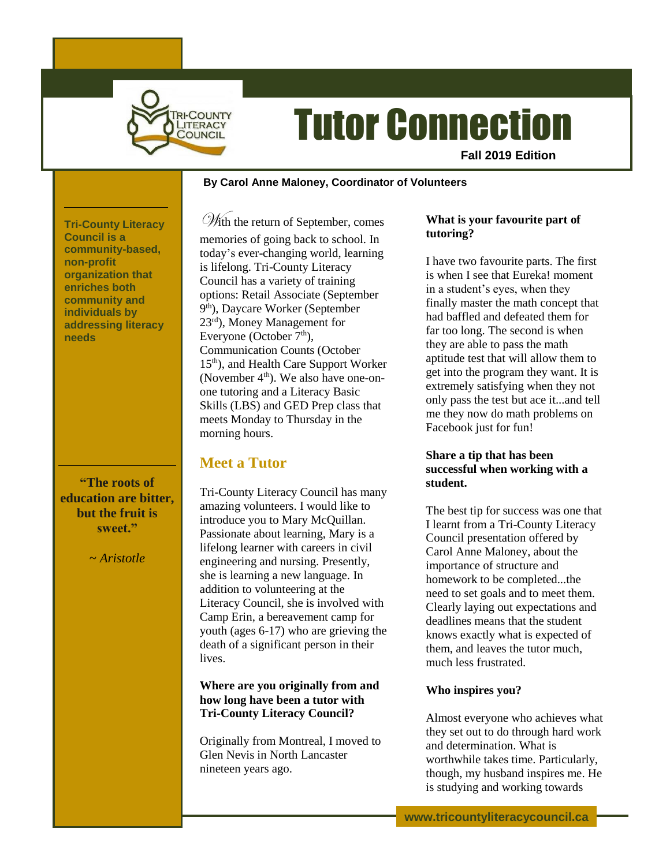

# Tutor Connection

**Fall 2019 Edition**

#### **~ By Carol Anne Maloney, Coordinator of Volunteers**

**Tri-County Literacy Council is a community-based, non-profit organization that enriches both community and individuals by addressing literacy needs**

**"The roots of education are bitter, but the fruit is sweet."**

~ *Aristotle*

With the return of September, comes memories of going back to school. In today's ever-changing world, learning is lifelong. Tri-County Literacy Council has a variety of training options: Retail Associate (September 9<sup>th</sup>), Daycare Worker (September 23rd), Money Management for Everyone (October  $7<sup>th</sup>$ ), Communication Counts (October 15<sup>th</sup>), and Health Care Support Worker (November  $4<sup>th</sup>$ ). We also have one-onone tutoring and a Literacy Basic Skills (LBS) and GED Prep class that meets Monday to Thursday in the morning hours.

## **Meet a Tutor**

Tri-County Literacy Council has many amazing volunteers. I would like to introduce you to Mary McQuillan. Passionate about learning, Mary is a lifelong learner with careers in civil engineering and nursing. Presently, she is learning a new language. In addition to volunteering at the Literacy Council, she is involved with Camp Erin, a bereavement camp for youth (ages 6-17) who are grieving the death of a significant person in their lives.

**Where are you originally from and how long have been a tutor with Tri-County Literacy Council?**

Originally from Montreal, I moved to Glen Nevis in North Lancaster nineteen years ago.

## **What is your favourite part of tutoring?**

I have two favourite parts. The first is when I see that Eureka! moment in a student's eyes, when they finally master the math concept that had baffled and defeated them for far too long. The second is when they are able to pass the math aptitude test that will allow them to get into the program they want. It is extremely satisfying when they not only pass the test but ace it...and tell me they now do math problems on Facebook just for fun!

### **Share a tip that has been successful when working with a student.**

The best tip for success was one that I learnt from a Tri-County Literacy Council presentation offered by Carol Anne Maloney, about the importance of structure and homework to be completed...the need to set goals and to meet them. Clearly laying out expectations and deadlines means that the student knows exactly what is expected of them, and leaves the tutor much, much less frustrated.

## **Who inspires you?**

Almost everyone who achieves what they set out to do through hard work and determination. What is worthwhile takes time. Particularly, though, my husband inspires me. He is studying and working towards